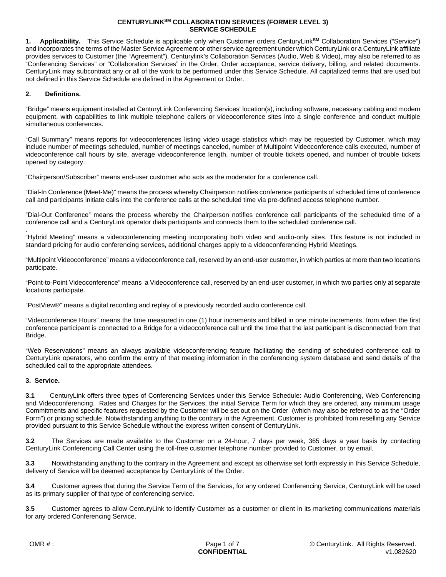**1. Applicability.** This Service Schedule is applicable only when Customer orders CenturyLink**SM** Collaboration Services ("Service") and incorporates the terms of the Master Service Agreement or other service agreement under which CenturyLink or a CenturyLink affiliate provides services to Customer (the "Agreement"). Centurylink's Collaboration Services (Audio, Web & Video), may also be referred to as "Conferencing Services" or "Collaboration Services" in the Order, Order acceptance, service delivery, billing, and related documents. CenturyLink may subcontract any or all of the work to be performed under this Service Schedule. All capitalized terms that are used but not defined in this Service Schedule are defined in the Agreement or Order.

## **2. Definitions.**

"Bridge" means equipment installed at CenturyLink Conferencing Services' location(s), including software, necessary cabling and modem equipment, with capabilities to link multiple telephone callers or videoconference sites into a single conference and conduct multiple simultaneous conferences.

"Call Summary" means reports for videoconferences listing video usage statistics which may be requested by Customer, which may include number of meetings scheduled, number of meetings canceled, number of Multipoint Videoconference calls executed, number of videoconference call hours by site, average videoconference length, number of trouble tickets opened, and number of trouble tickets opened by category.

"Chairperson/Subscriber" means end-user customer who acts as the moderator for a conference call.

"Dial-In Conference (Meet-Me)" means the process whereby Chairperson notifies conference participants of scheduled time of conference call and participants initiate calls into the conference calls at the scheduled time via pre-defined access telephone number.

"Dial-Out Conference" means the process whereby the Chairperson notifies conference call participants of the scheduled time of a conference call and a CenturyLink operator dials participants and connects them to the scheduled conference call.

. "Hybrid Meeting" means a videoconferencing meeting incorporating both video and audio-only sites. This feature is not included in standard pricing for audio conferencing services, additional charges apply to a videoconferencing Hybrid Meetings.

"Multipoint Videoconference" means a videoconference call, reserved by an end-user customer, in which parties at more than two locations participate.

"Point-to-Point Videoconference" means a Videoconference call, reserved by an end-user customer, in which two parties only at separate locations participate.

"PostView®" means a digital recording and replay of a previously recorded audio conference call.

"Videoconference Hours" means the time measured in one (1) hour increments and billed in one minute increments, from when the first conference participant is connected to a Bridge for a videoconference call until the time that the last participant is disconnected from that Bridge.

"Web Reservations" means an always available videoconferencing feature facilitating the sending of scheduled conference call to CenturyLink operators, who confirm the entry of that meeting information in the conferencing system database and send details of the scheduled call to the appropriate attendees.

# **3. Service.**

**3.1** CenturyLink offers three types of Conferencing Services under this Service Schedule: Audio Conferencing, Web Conferencing and Videoconferencing. Rates and Charges for the Services, the initial Service Term for which they are ordered, any minimum usage Commitments and specific features requested by the Customer will be set out on the Order (which may also be referred to as the "Order Form") or pricing schedule. Notwithstanding anything to the contrary in the Agreement, Customer is prohibited from reselling any Service provided pursuant to this Service Schedule without the express written consent of CenturyLink.

**3.2** The Services are made available to the Customer on a 24-hour, 7 days per week, 365 days a year basis by contacting CenturyLink Conferencing Call Center using the toll-free customer telephone number provided to Customer, or by email.

**3.3** Notwithstanding anything to the contrary in the Agreement and except as otherwise set forth expressly in this Service Schedule, delivery of Service will be deemed acceptance by CenturyLink of the Order.

**3.4** Customer agrees that during the Service Term of the Services, for any ordered Conferencing Service, CenturyLink will be used as its primary supplier of that type of conferencing service.

**3.5** Customer agrees to allow CenturyLink to identify Customer as a customer or client in its marketing communications materials for any ordered Conferencing Service.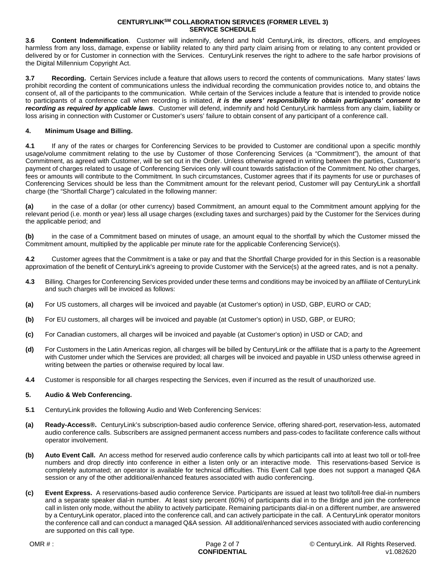**3.6 Content Indemnification**. Customer will indemnify, defend and hold CenturyLink, its directors, officers, and employees harmless from any loss, damage, expense or liability related to any third party claim arising from or relating to any content provided or delivered by or for Customer in connection with the Services. CenturyLink reserves the right to adhere to the safe harbor provisions of the Digital Millennium Copyright Act.

**3.7 Recording.** Certain Services include a feature that allows users to record the contents of communications. Many states' laws prohibit recording the content of communications unless the individual recording the communication provides notice to, and obtains the consent of, all of the participants to the communication. While certain of the Services include a feature that is intended to provide notice to participants of a conference call when recording is initiated, *it is the users' responsibility to obtain participants' consent to recording as required by applicable laws*. Customer will defend, indemnify and hold CenturyLink harmless from any claim, liability or loss arising in connection with Customer or Customer's users' failure to obtain consent of any participant of a conference call.

# **4. Minimum Usage and Billing.**

**4.1** If any of the rates or charges for Conferencing Services to be provided to Customer are conditional upon a specific monthly usage/volume commitment relating to the use by Customer of those Conferencing Services (a "Commitment"), the amount of that Commitment, as agreed with Customer, will be set out in the Order. Unless otherwise agreed in writing between the parties, Customer's payment of charges related to usage of Conferencing Services only will count towards satisfaction of the Commitment. No other charges, fees or amounts will contribute to the Commitment. In such circumstances, Customer agrees that if its payments for use or purchases of Conferencing Services should be less than the Commitment amount for the relevant period, Customer will pay CenturyLink a shortfall charge (the "Shortfall Charge") calculated in the following manner:

**(a)** in the case of a dollar (or other currency) based Commitment, an amount equal to the Commitment amount applying for the relevant period (i.e. month or year) less all usage charges (excluding taxes and surcharges) paid by the Customer for the Services during the applicable period; and

**(b)** in the case of a Commitment based on minutes of usage, an amount equal to the shortfall by which the Customer missed the Commitment amount, multiplied by the applicable per minute rate for the applicable Conferencing Service(s).

**4.2** Customer agrees that the Commitment is a take or pay and that the Shortfall Charge provided for in this Section is a reasonable approximation of the benefit of CenturyLink's agreeing to provide Customer with the Service(s) at the agreed rates, and is not a penalty.

- **4.3** Billing. Charges for Conferencing Services provided under these terms and conditions may be invoiced by an affiliate of CenturyLink and such charges will be invoiced as follows:
- **(a)** For US customers, all charges will be invoiced and payable (at Customer's option) in USD, GBP, EURO or CAD;
- **(b)** For EU customers, all charges will be invoiced and payable (at Customer's option) in USD, GBP, or EURO;
- **(c)** For Canadian customers, all charges will be invoiced and payable (at Customer's option) in USD or CAD; and
- **(d)** For Customers in the Latin Americas region, all charges will be billed by CenturyLink or the affiliate that is a party to the Agreement with Customer under which the Services are provided; all charges will be invoiced and payable in USD unless otherwise agreed in writing between the parties or otherwise required by local law.
- **4.4** Customer is responsible for all charges respecting the Services, even if incurred as the result of unauthorized use.

### **5. Audio & Web Conferencing.**

- **5.1** CenturyLink provides the following Audio and Web Conferencing Services:
- **(a) Ready-Access®.** CenturyLink's subscription-based audio conference Service, offering shared-port, reservation-less, automated audio conference calls. Subscribers are assigned permanent access numbers and pass-codes to facilitate conference calls without operator involvement.
- **(b) Auto Event Call.** An access method for reserved audio conference calls by which participants call into at least two toll or toll-free numbers and drop directly into conference in either a listen only or an interactive mode. This reservations-based Service is completely automated; an operator is available for technical difficulties. This Event Call type does not support a managed Q&A session or any of the other additional/enhanced features associated with audio conferencing.
- **(c) Event Express.** A reservations-based audio conference Service. Participants are issued at least two toll/toll-free dial-in numbers and a separate speaker dial-in number. At least sixty percent (60%) of participants dial in to the Bridge and join the conference call in listen only mode, without the ability to actively participate. Remaining participants dial-in on a different number, are answered by a CenturyLink operator, placed into the conference call, and can actively participate in the call. A CenturyLink operator monitors the conference call and can conduct a managed Q&A session. All additional/enhanced services associated with audio conferencing are supported on this call type.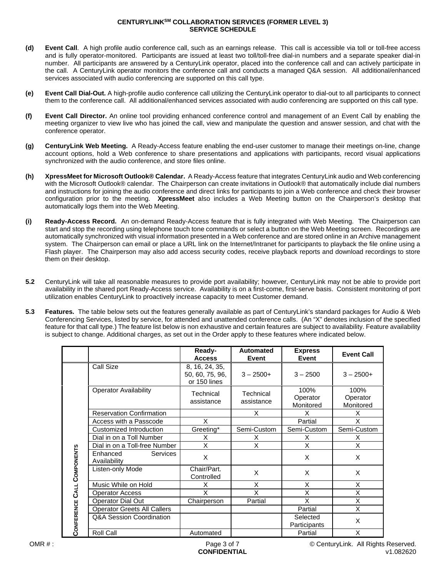- **(d) Event Call**. A high profile audio conference call, such as an earnings release. This call is accessible via toll or toll-free access and is fully operator-monitored. Participants are issued at least two toll/toll-free dial-in numbers and a separate speaker dial-in number. All participants are answered by a CenturyLink operator, placed into the conference call and can actively participate in the call. A CenturyLink operator monitors the conference call and conducts a managed Q&A session. All additional/enhanced services associated with audio conferencing are supported on this call type.
- **(e) Event Call Dial-Out.** A high-profile audio conference call utilizing the CenturyLink operator to dial-out to all participants to connect them to the conference call. All additional/enhanced services associated with audio conferencing are supported on this call type.
- **(f) Event Call Director.** An online tool providing enhanced conference control and management of an Event Call by enabling the meeting organizer to view live who has joined the call, view and manipulate the question and answer session, and chat with the conference operator.
- **(g) CenturyLink Web Meeting.** A Ready-Access feature enabling the end-user customer to manage their meetings on-line, change account options, hold a Web conference to share presentations and applications with participants, record visual applications synchronized with the audio conference, and store files online.
- **(h) XpressMeet for Microsoft Outlook® Calendar.** A Ready-Access feature that integrates CenturyLink audio and Web conferencing with the Microsoft Outlook® calendar. The Chairperson can create invitations in Outlook® that automatically include dial numbers and instructions for joining the audio conference and direct links for participants to join a Web conference and check their browser configuration prior to the meeting. **XpressMeet** also includes a Web Meeting button on the Chairperson's desktop that automatically logs them into the Web Meeting.
- **(i) Ready-Access Record.** An on-demand Ready-Access feature that is fully integrated with Web Meeting. The Chairperson can start and stop the recording using telephone touch tone commands or select a button on the Web Meeting screen. Recordings are automatically synchronized with visual information presented in a Web conference and are stored online in an Archive management system. The Chairperson can email or place a URL link on the Internet/Intranet for participants to playback the file online using a Flash player. The Chairperson may also add access security codes, receive playback reports and download recordings to store them on their desktop.
- **5.2** CenturyLink will take all reasonable measures to provide port availability; however, CenturyLink may not be able to provide port availability in the shared port Ready-Access service. Availability is on a first-come, first-serve basis. Consistent monitoring of port utilization enables CenturyLink to proactively increase capacity to meet Customer demand.
- **5.3 Features.** The table below sets out the features generally available as part of CenturyLink's standard packages for Audio & Web Conferencing Services, listed by service, for attended and unattended conference calls. (An "X" denotes inclusion of the specified feature for that call type.) The feature list below is non exhaustive and certain features are subject to availability. Feature availability is subject to change. Additional charges, as set out in the Order apply to these features where indicated below.

|                            |                                             | Ready-<br><b>Access</b>                           | Automated<br>Event      | <b>Express</b><br>Event       | <b>Event Call</b>             |
|----------------------------|---------------------------------------------|---------------------------------------------------|-------------------------|-------------------------------|-------------------------------|
| CONFERENCE CALL COMPONENTS | Call Size                                   | 8, 16, 24, 35,<br>50, 60, 75, 96,<br>or 150 lines | $3 - 2500+$             | $3 - 2500$                    | $3 - 2500+$                   |
|                            | <b>Operator Availability</b>                | Technical<br>assistance                           | Technical<br>assistance | 100%<br>Operator<br>Monitored | 100%<br>Operator<br>Monitored |
|                            | <b>Reservation Confirmation</b>             |                                                   | X                       | X                             | X                             |
|                            | Access with a Passcode                      | X                                                 |                         | Partial                       | X                             |
|                            | Customized Introduction                     | Greeting*                                         | Semi-Custom             | Semi-Custom                   | Semi-Custom                   |
|                            | Dial in on a Toll Number                    | X                                                 | X                       | X                             | X                             |
|                            | Dial in on a Toll-free Number               | X                                                 | X                       | X                             | X                             |
|                            | Enhanced<br><b>Services</b><br>Availability | X                                                 |                         | X                             | X                             |
|                            | Listen-only Mode                            | Chair/Part.<br>Controlled                         | X                       | X                             | X                             |
|                            | Music While on Hold                         | X                                                 | X                       | X                             | X                             |
|                            | <b>Operator Access</b>                      | X                                                 | X                       | X                             | X                             |
|                            | Operator Dial Out                           | Chairperson                                       | Partial                 | X                             | X                             |
|                            | <b>Operator Greets All Callers</b>          |                                                   |                         | Partial                       | X                             |
|                            | Q&A Session Coordination                    |                                                   |                         | Selected<br>Participants      | X                             |
|                            | Roll Call                                   | Automated                                         |                         | Partial                       | X                             |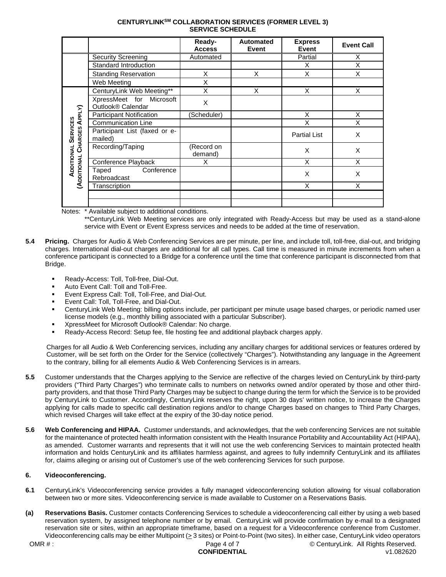|                                                                                |                                                           | Ready-<br><b>Access</b> | Automated<br><b>Event</b> | <b>Express</b><br><b>Event</b> | <b>Event Call</b> |
|--------------------------------------------------------------------------------|-----------------------------------------------------------|-------------------------|---------------------------|--------------------------------|-------------------|
|                                                                                | <b>Security Screening</b>                                 | Automated               |                           | Partial                        | Χ                 |
|                                                                                | Standard Introduction                                     |                         |                           | X                              | X                 |
|                                                                                | <b>Standing Reservation</b>                               | X                       | X                         | X                              | X                 |
|                                                                                | Web Meeting                                               | X                       |                           |                                |                   |
| APPLY)<br><b>SERVICES</b><br><b>CHARGES</b><br>ADDITIONAL<br><b>ADDITIONAL</b> | CenturyLink Web Meeting**                                 | X                       | X                         | X                              | X                 |
|                                                                                | XpressMeet for Microsoft<br>Outlook <sup>®</sup> Calendar | Χ                       |                           |                                |                   |
|                                                                                | <b>Participant Notification</b>                           | Scheduler)              |                           | X                              | X                 |
|                                                                                | <b>Communication Line</b>                                 |                         |                           | X                              | X                 |
|                                                                                | Participant List (faxed or e-<br>mailed)                  |                         |                           | <b>Partial List</b>            | X                 |
|                                                                                | Recording/Taping                                          | (Record on<br>demand)   |                           | X                              | X                 |
|                                                                                | Conference Playback                                       | X                       |                           | X                              | X                 |
|                                                                                | Conference<br>Taped<br>Rebroadcast                        |                         |                           | X                              | X                 |
|                                                                                | Transcription                                             |                         |                           | X                              | X                 |
|                                                                                |                                                           |                         |                           |                                |                   |
|                                                                                |                                                           |                         |                           |                                |                   |

Notes: \* Available subject to additional conditions.

\*\*CenturyLink Web Meeting services are only integrated with Ready-Access but may be used as a stand-alone service with Event or Event Express services and needs to be added at the time of reservation.

- **5.4 Pricing.** Charges for Audio & Web Conferencing Services are per minute, per line, and include toll, toll-free, dial-out, and bridging charges. International dial-out charges are additional for all call types. Call time is measured in minute increments from when a conference participant is connected to a Bridge for a conference until the time that conference participant is disconnected from that Bridge.
	- Ready-Access: Toll, Toll-free, Dial-Out.
	- Auto Event Call: Toll and Toll-Free.
	- Event Express Call: Toll, Toll-Free, and Dial-Out.
	- Event Call: Toll, Toll-Free, and Dial-Out.
	- CenturyLink Web Meeting: billing options include, per participant per minute usage based charges, or periodic named user license models (e.g., monthly billing associated with a particular Subscriber).
	- XpressMeet for Microsoft Outlook® Calendar: No charge.
	- Ready-Access Record: Setup fee, file hosting fee and additional playback charges apply.

Charges for all Audio & Web Conferencing services, including any ancillary charges for additional services or features ordered by Customer, will be set forth on the Order for the Service (collectively "Charges"). Notwithstanding any language in the Agreement to the contrary, billing for all elements Audio & Web Conferencing Services is in arrears.

- **5.5** Customer understands that the Charges applying to the Service are reflective of the charges levied on CenturyLink by third-party providers ("Third Party Charges") who terminate calls to numbers on networks owned and/or operated by those and other thirdparty providers, and that those Third Party Charges may be subject to change during the term for which the Service is to be provided by CenturyLink to Customer. Accordingly, CenturyLink reserves the right, upon 30 days' written notice, to increase the Charges applying for calls made to specific call destination regions and/or to change Charges based on changes to Third Party Charges, which revised Charges will take effect at the expiry of the 30-day notice period.
- **5.6 Web Conferencing and HIPAA.** Customer understands, and acknowledges, that the web conferencing Services are not suitable for the maintenance of protected health information consistent with the Health Insurance Portability and Accountability Act (HIPAA), as amended. Customer warrants and represents that it will not use the web conferencing Services to maintain protected health information and holds CenturyLink and its affiliates harmless against, and agrees to fully indemnify CenturyLink and its affiliates for, claims alleging or arising out of Customer's use of the web conferencing Services for such purpose.

# **6. Videoconferencing.**

- **6.1** CenturyLink's Videoconferencing service provides a fully managed videoconferencing solution allowing for visual collaboration between two or more sites. Videoconferencing service is made available to Customer on a Reservations Basis.
- **(a) Reservations Basis.** Customer contacts Conferencing Services to schedule a videoconferencing call either by using a web based reservation system, by assigned telephone number or by email. CenturyLink will provide confirmation by e-mail to a designated reservation site or sites, within an appropriate timeframe, based on a request for a Videoconference conference from Customer. Videoconferencing calls may be either Multipoint ( $\geq 3$  sites) or Point-to-Point (two sites). In either case, CenturyLink video operators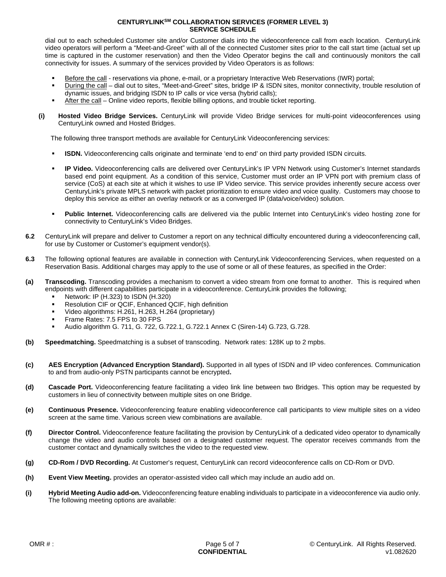dial out to each scheduled Customer site and/or Customer dials into the videoconference call from each location. CenturyLink video operators will perform a "Meet-and-Greet" with all of the connected Customer sites prior to the call start time (actual set up time is captured in the customer reservation) and then the Video Operator begins the call and continuously monitors the call connectivity for issues. A summary of the services provided by Video Operators is as follows:

- Before the call reservations via phone, e-mail, or a proprietary Interactive Web Reservations (IWR) portal;
- During the call dial out to sites, "Meet-and-Greet" sites, bridge IP & ISDN sites, monitor connectivity, trouble resolution of dynamic issues, and bridging ISDN to IP calls or vice versa (hybrid calls);
- After the call Online video reports, flexible billing options, and trouble ticket reporting.
- **(i) Hosted Video Bridge Services.** CenturyLink will provide Video Bridge services for multi-point videoconferences using CenturyLink owned and Hosted Bridges.

The following three transport methods are available for CenturyLink Videoconferencing services:

- **ISDN.** Videoconferencing calls originate and terminate 'end to end' on third party provided ISDN circuits.
- **IP Video.** Videoconferencing calls are delivered over CenturyLink's IP VPN Network using Customer's Internet standards based end point equipment. As a condition of this service, Customer must order an IP VPN port with premium class of service (CoS) at each site at which it wishes to use IP Video service. This service provides inherently secure access over CenturyLink's private MPLS network with packet prioritization to ensure video and voice quality. Customers may choose to deploy this service as either an overlay network or as a converged IP (data/voice/video) solution.
- **Public Internet.** Videoconferencing calls are delivered via the public Internet into CenturyLink's video hosting zone for connectivity to CenturyLink's Video Bridges.
- **6.2** CenturyLink will prepare and deliver to Customer a report on any technical difficulty encountered during a videoconferencing call, for use by Customer or Customer's equipment vendor(s).
- **6.3** The following optional features are available in connection with CenturyLink Videoconferencing Services, when requested on a Reservation Basis. Additional charges may apply to the use of some or all of these features, as specified in the Order:
- **(a) Transcoding.** Transcoding provides a mechanism to convert a video stream from one format to another. This is required when endpoints with different capabilities participate in a videoconference. CenturyLink provides the following;
	- Network: IP (H.323) to ISDN (H.320)
	- Resolution CIF or QCIF, Enhanced QCIF, high definition
	- Video algorithms: H.261, H.263, H.264 (proprietary)
	- Frame Rates: 7.5 FPS to 30 FPS
	- Audio algorithm G. 711, G. 722, G.722.1, G.722.1 Annex C (Siren-14) G.723, G.728.
- **(b) Speedmatching.** Speedmatching is a subset of transcoding. Network rates: 128K up to 2 mpbs.
- **(c) AES Encryption (Advanced Encryption Standard).** Supported in all types of ISDN and IP video conferences. Communication to and from audio-only PSTN participants cannot be encrypted**.**
- **(d) Cascade Port.** Videoconferencing feature facilitating a video link line between two Bridges. This option may be requested by customers in lieu of connectivity between multiple sites on one Bridge.
- **(e) Continuous Presence.** Videoconferencing feature enabling videoconference call participants to view multiple sites on a video screen at the same time. Various screen view combinations are available.
- **(f) Director Control.** Videoconference feature facilitating the provision by CenturyLink of a dedicated video operator to dynamically change the video and audio controls based on a designated customer request. The operator receives commands from the customer contact and dynamically switches the video to the requested view.
- **(g) CD-Rom / DVD Recording.** At Customer's request, CenturyLink can record videoconference calls on CD-Rom or DVD.
- **(h) Event View Meeting.** provides an operator-assisted video call which may include an audio add on.
- **(i) Hybrid Meeting Audio add-on.** Videoconferencing feature enabling individuals to participate in a videoconference via audio only. The following meeting options are available: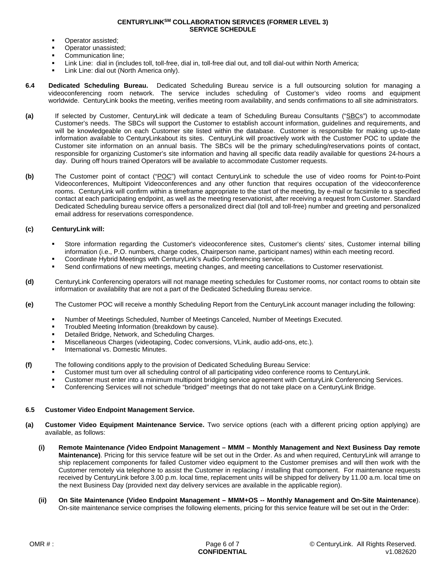- Operator assisted;
- Operator unassisted;
- Communication line;
- Link Line: dial in (includes toll, toll-free, dial in, toll-free dial out, and toll dial-out within North America;
- Link Line: dial out (North America only).
- **6.4 Dedicated Scheduling Bureau.** Dedicated Scheduling Bureau service is a full outsourcing solution for managing a videoconferencing room network. The service includes scheduling of Customer's video rooms and equipment worldwide. CenturyLink books the meeting, verifies meeting room availability, and sends confirmations to all site administrators.
- **(a)** If selected by Customer, CenturyLink will dedicate a team of Scheduling Bureau Consultants ("SBCs") to accommodate Customer's needs. The SBCs will support the Customer to establish account information, guidelines and requirements, and will be knowledgeable on each Customer site listed within the database. Customer is responsible for making up-to-date information available to CenturyLinkabout its sites. CenturyLink will proactively work with the Customer POC to update the Customer site information on an annual basis. The SBCs will be the primary scheduling/reservations points of contact, responsible for organizing Customer's site information and having all specific data readily available for questions 24-hours a day. During off hours trained Operators will be available to accommodate Customer requests.
- **(b)** The Customer point of contact ("POC") will contact CenturyLink to schedule the use of video rooms for Point-to-Point Videoconferences, Multipoint Videoconferences and any other function that requires occupation of the videoconference rooms. CenturyLink will confirm within a timeframe appropriate to the start of the meeting, by e-mail or facsimile to a specified contact at each participating endpoint, as well as the meeting reservationist, after receiving a request from Customer. Standard Dedicated Scheduling bureau service offers a personalized direct dial (toll and toll-free) number and greeting and personalized email address for reservations correspondence.

## **(c) CenturyLink will:**

- Store information regarding the Customer's videoconference sites, Customer's clients' sites, Customer internal billing information (i.e., P.O. numbers, charge codes, Chairperson name, participant names) within each meeting record.
- Coordinate Hybrid Meetings with CenturyLink's Audio Conferencing service.
- Send confirmations of new meetings, meeting changes, and meeting cancellations to Customer reservationist.
- **(d)** CenturyLink Conferencing operators will not manage meeting schedules for Customer rooms, nor contact rooms to obtain site information or availability that are not a part of the Dedicated Scheduling Bureau service.
- **(e)** The Customer POC will receive a monthly Scheduling Report from the CenturyLink account manager including the following:
	- Number of Meetings Scheduled, Number of Meetings Canceled, Number of Meetings Executed.
	- **Troubled Meeting Information (breakdown by cause).**
	- **Detailed Bridge, Network, and Scheduling Charges.**
	- Miscellaneous Charges (videotaping, Codec conversions, VLink, audio add-ons, etc.).
	- International vs. Domestic Minutes.

**(f)** The following conditions apply to the provision of Dedicated Scheduling Bureau Service:

- Customer must turn over all scheduling control of all participating video conference rooms to CenturyLink.
- Customer must enter into a minimum multipoint bridging service agreement with CenturyLink Conferencing Services.
- Conferencing Services will not schedule "bridged" meetings that do not take place on a CenturyLink Bridge.

# **6.5 Customer Video Endpoint Management Service.**

- **(a) Customer Video Equipment Maintenance Service.** Two service options (each with a different pricing option applying) are available, as follows:
	- **(i) Remote Maintenance** *(***Video Endpoint Management MMM Monthly Management and Next Business Day remote Maintenance)**. Pricing for this service feature will be set out in the Order. As and when required, CenturyLink will arrange to ship replacement components for failed Customer video equipment to the Customer premises and will then work with the Customer remotely via telephone to assist the Customer in replacing / installing that component. For maintenance requests received by CenturyLink before 3.00 p.m. local time, replacement units will be shipped for delivery by 11.00 a.m. local time on the next Business Day (provided next day delivery services are available in the applicable region).
	- **(ii) On Site Maintenance (Video Endpoint Management MMM+OS -- Monthly Management and On-Site Maintenance**). On-site maintenance service comprises the following elements, pricing for this service feature will be set out in the Order: